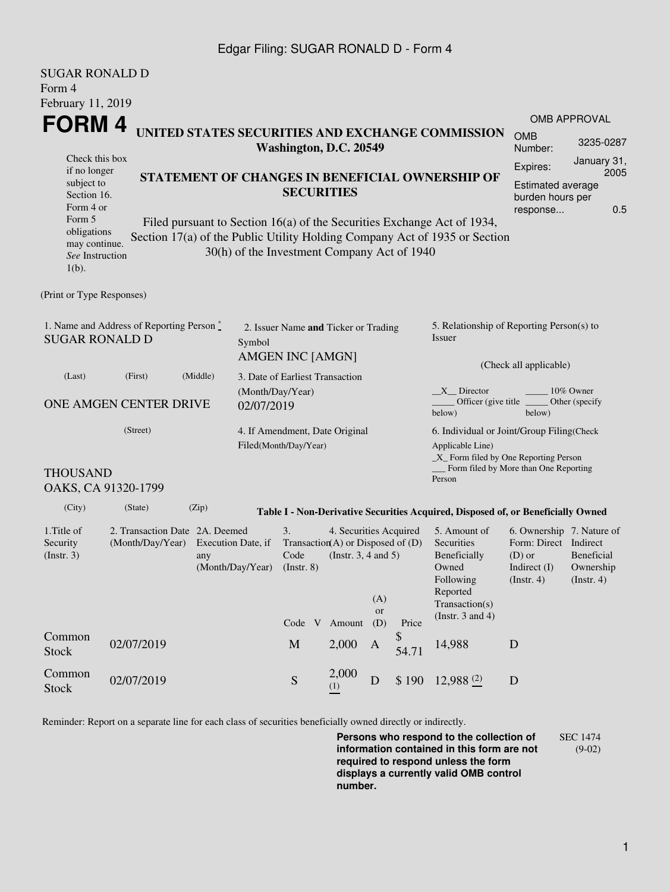### Edgar Filing: SUGAR RONALD D - Form 4

| <b>SUGAR RONALD D</b>                                                                                                                         |                                |                                                                                                                                                                                                      |                                                                                             |                                                                                           |              |                                                                                         |                                                                                                |                                                                                                           |                                        |           |  |  |  |
|-----------------------------------------------------------------------------------------------------------------------------------------------|--------------------------------|------------------------------------------------------------------------------------------------------------------------------------------------------------------------------------------------------|---------------------------------------------------------------------------------------------|-------------------------------------------------------------------------------------------|--------------|-----------------------------------------------------------------------------------------|------------------------------------------------------------------------------------------------|-----------------------------------------------------------------------------------------------------------|----------------------------------------|-----------|--|--|--|
| Form 4                                                                                                                                        |                                |                                                                                                                                                                                                      |                                                                                             |                                                                                           |              |                                                                                         |                                                                                                |                                                                                                           |                                        |           |  |  |  |
| February 11, 2019                                                                                                                             |                                |                                                                                                                                                                                                      |                                                                                             |                                                                                           |              |                                                                                         |                                                                                                |                                                                                                           |                                        |           |  |  |  |
| <b>FORM4</b><br>UNITED STATES SECURITIES AND EXCHANGE COMMISSION                                                                              |                                |                                                                                                                                                                                                      |                                                                                             |                                                                                           |              |                                                                                         |                                                                                                | <b>OMB APPROVAL</b><br><b>OMB</b>                                                                         |                                        |           |  |  |  |
| Check this box                                                                                                                                |                                |                                                                                                                                                                                                      |                                                                                             | Washington, D.C. 20549                                                                    |              |                                                                                         |                                                                                                |                                                                                                           | Number:                                | 3235-0287 |  |  |  |
| if no longer<br>subject to<br>Section 16.<br>Form 4 or                                                                                        |                                | STATEMENT OF CHANGES IN BENEFICIAL OWNERSHIP OF                                                                                                                                                      | January 31,<br>Expires:<br>2005<br>Estimated average<br>burden hours per<br>0.5<br>response |                                                                                           |              |                                                                                         |                                                                                                |                                                                                                           |                                        |           |  |  |  |
| Form 5<br>obligations<br>may continue.<br>See Instruction<br>$1(b)$ .                                                                         |                                | Filed pursuant to Section 16(a) of the Securities Exchange Act of 1934,<br>Section 17(a) of the Public Utility Holding Company Act of 1935 or Section<br>30(h) of the Investment Company Act of 1940 |                                                                                             |                                                                                           |              |                                                                                         |                                                                                                |                                                                                                           |                                        |           |  |  |  |
| (Print or Type Responses)                                                                                                                     |                                |                                                                                                                                                                                                      |                                                                                             |                                                                                           |              |                                                                                         |                                                                                                |                                                                                                           |                                        |           |  |  |  |
| 1. Name and Address of Reporting Person*<br><b>SUGAR RONALD D</b>                                                                             |                                |                                                                                                                                                                                                      | Symbol                                                                                      | 2. Issuer Name and Ticker or Trading<br><b>AMGEN INC [AMGN]</b>                           |              |                                                                                         |                                                                                                | 5. Relationship of Reporting Person(s) to<br><b>Issuer</b><br>(Check all applicable)                      |                                        |           |  |  |  |
| (Last)                                                                                                                                        |                                | 3. Date of Earliest Transaction                                                                                                                                                                      |                                                                                             |                                                                                           |              |                                                                                         |                                                                                                |                                                                                                           |                                        |           |  |  |  |
| ONE AMGEN CENTER DRIVE                                                                                                                        | (Month/Day/Year)<br>02/07/2019 |                                                                                                                                                                                                      |                                                                                             |                                                                                           |              | $X$ Director<br>10% Owner<br>Officer (give title)<br>Other (specify<br>below)<br>below) |                                                                                                |                                                                                                           |                                        |           |  |  |  |
| (Street)                                                                                                                                      |                                |                                                                                                                                                                                                      |                                                                                             | 4. If Amendment, Date Original<br>Filed(Month/Day/Year)                                   |              |                                                                                         |                                                                                                | 6. Individual or Joint/Group Filing(Check<br>Applicable Line)<br>$\_X$ Form filed by One Reporting Person |                                        |           |  |  |  |
| <b>THOUSAND</b>                                                                                                                               | OAKS, CA 91320-1799            |                                                                                                                                                                                                      |                                                                                             |                                                                                           |              |                                                                                         |                                                                                                | Person                                                                                                    | Form filed by More than One Reporting  |           |  |  |  |
| (City)                                                                                                                                        | (State)                        | (Zip)                                                                                                                                                                                                |                                                                                             |                                                                                           |              |                                                                                         |                                                                                                | Table I - Non-Derivative Securities Acquired, Disposed of, or Beneficially Owned                          |                                        |           |  |  |  |
| 1. Title of<br>2. Transaction Date 2A. Deemed<br>Security<br>(Month/Day/Year)<br>Execution Date, if<br>(Insert. 3)<br>any<br>(Month/Day/Year) |                                |                                                                                                                                                                                                      | 3.<br>Code<br>$($ Instr. $8)$                                                               | 4. Securities Acquired<br>Transaction(A) or Disposed of $(D)$<br>(Instr. $3, 4$ and $5$ ) | (A)          |                                                                                         | 5. Amount of<br>Securities<br>Beneficially<br>Owned<br>Following<br>Reported<br>Transaction(s) | 6. Ownership 7. Nature of<br>Form: Direct Indirect<br>$(D)$ or<br>Indirect $(I)$<br>$($ Instr. 4 $)$      | Beneficial<br>Ownership<br>(Insert. 4) |           |  |  |  |
|                                                                                                                                               |                                |                                                                                                                                                                                                      |                                                                                             | Code V                                                                                    | Amount       | or<br>(D)                                                                               | Price                                                                                          | (Instr. $3$ and $4$ )                                                                                     |                                        |           |  |  |  |
| Common<br><b>Stock</b>                                                                                                                        | 02/07/2019                     |                                                                                                                                                                                                      |                                                                                             | M                                                                                         | 2,000        | A                                                                                       | \$<br>54.71                                                                                    | 14,988                                                                                                    | D                                      |           |  |  |  |
| Common<br><b>Stock</b>                                                                                                                        | 02/07/2019                     |                                                                                                                                                                                                      |                                                                                             | S                                                                                         | 2,000<br>(1) | D                                                                                       | \$190                                                                                          | $12,988$ $(2)$                                                                                            | $\mathbf D$                            |           |  |  |  |
|                                                                                                                                               |                                |                                                                                                                                                                                                      |                                                                                             |                                                                                           |              |                                                                                         |                                                                                                |                                                                                                           |                                        |           |  |  |  |

Reminder: Report on a separate line for each class of securities beneficially owned directly or indirectly.

**Persons who respond to the collection of information contained in this form are not required to respond unless the form displays a currently valid OMB control number.** SEC 1474 (9-02)